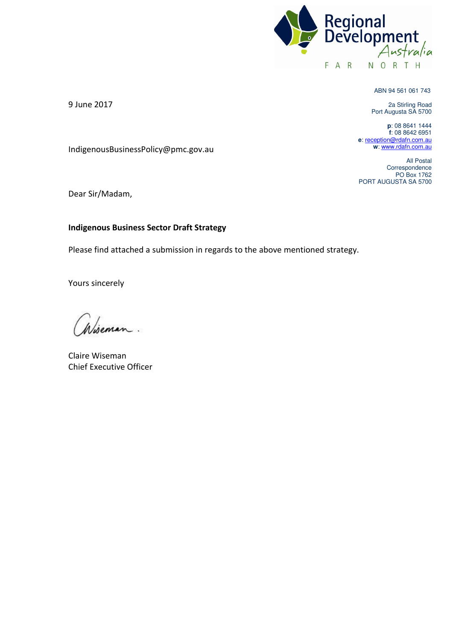

ABN 94 561 061 743

2a Stirling Road Port Augusta SA 5700

**p**: 08 8641 1444 **f**: 08 8642 6951 **e**[: reception@rdafn.com.au](mailto:reception@rdafn.com.au) **w**[: www.rdafn.com.au](http://www.rdafn.com.au/) 

All Postal Correspondence PO Box 1762 PORT AUGUSTA SA 5700

9 June 2017

IndigenousBusinessPolicy@pmc.gov.au

Dear Sir/Madam,

# **Indigenous Business Sector Draft Strategy**

Please find attached a submission in regards to the above mentioned strategy.

Yours sincerely

Claire Wiseman Chief Executive Officer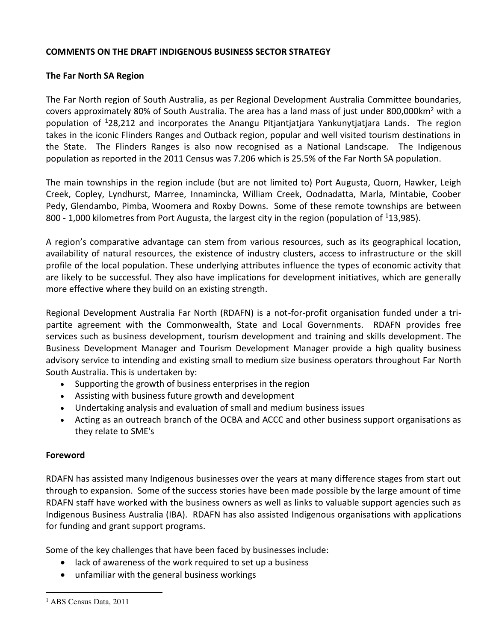# **COMMENTS ON THE DRAFT INDIGENOUS BUSINESS SECTOR STRATEGY**

# **The Far North SA Region**

The Far North region of South Australia, as per Regional Development Australia Committee boundaries, covers approximately 80% of South Australia. The area has a land mass of just under 800,000km<sup>2</sup> with a population of <sup>1</sup>28,212 and incorporates the Anangu Pitjantjatjara Yankunytjatjara Lands. The region takes in the iconic Flinders Ranges and Outback region, popular and well visited tourism destinations in the State. The Flinders Ranges is also now recognised as a National Landscape. The Indigenous population as reported in the 2011 Census was 7.206 which is 25.5% of the Far North SA population.

The main townships in the region include (but are not limited to) Port Augusta, Quorn, Hawker, Leigh Creek, Copley, Lyndhurst, Marree, Innamincka, William Creek, Oodnadatta, Marla, Mintabie, Coober Pedy, Glendambo, Pimba, Woomera and Roxby Downs. Some of these remote townships are between 800 - 1,000 kilometres from Port Augusta, the largest city in the region (population of <sup>1</sup>13,985).

A region's comparative advantage can stem from various resources, such as its geographical location, availability of natural resources, the existence of industry clusters, access to infrastructure or the skill profile of the local population. These underlying attributes influence the types of economic activity that are likely to be successful. They also have implications for development initiatives, which are generally more effective where they build on an existing strength.

Regional Development Australia Far North (RDAFN) is a not-for-profit organisation funded under a tripartite agreement with the Commonwealth, State and Local Governments. RDAFN provides free services such as business development, tourism development and training and skills development. The Business Development Manager and Tourism Development Manager provide a high quality business advisory service to intending and existing small to medium size business operators throughout Far North South Australia. This is undertaken by:

- Supporting the growth of business enterprises in the region
- Assisting with business future growth and development
- Undertaking analysis and evaluation of small and medium business issues
- Acting as an outreach branch of the OCBA and ACCC and other business support organisations as they relate to SME's

# **Foreword**

RDAFN has assisted many Indigenous businesses over the years at many difference stages from start out through to expansion. Some of the success stories have been made possible by the large amount of time RDAFN staff have worked with the business owners as well as links to valuable support agencies such as Indigenous Business Australia (IBA). RDAFN has also assisted Indigenous organisations with applications for funding and grant support programs.

Some of the key challenges that have been faced by businesses include:

- lack of awareness of the work required to set up a business
- unfamiliar with the general business workings

l

<sup>&</sup>lt;sup>1</sup> ABS Census Data, 2011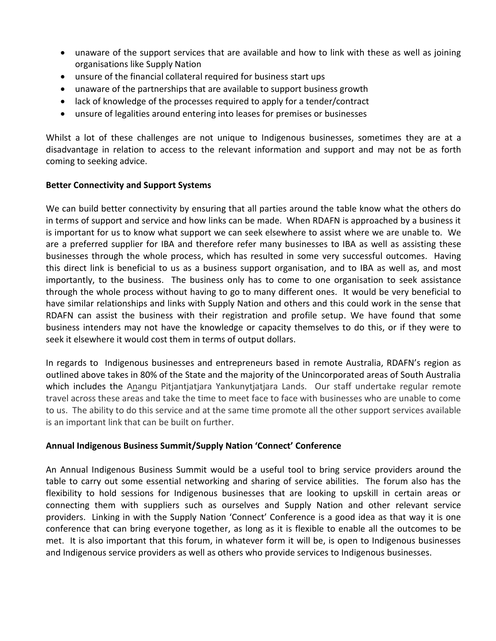- unaware of the support services that are available and how to link with these as well as joining organisations like Supply Nation
- unsure of the financial collateral required for business start ups
- unaware of the partnerships that are available to support business growth
- lack of knowledge of the processes required to apply for a tender/contract
- unsure of legalities around entering into leases for premises or businesses

Whilst a lot of these challenges are not unique to Indigenous businesses, sometimes they are at a disadvantage in relation to access to the relevant information and support and may not be as forth coming to seeking advice.

# **Better Connectivity and Support Systems**

We can build better connectivity by ensuring that all parties around the table know what the others do in terms of support and service and how links can be made. When RDAFN is approached by a business it is important for us to know what support we can seek elsewhere to assist where we are unable to. We are a preferred supplier for IBA and therefore refer many businesses to IBA as well as assisting these businesses through the whole process, which has resulted in some very successful outcomes. Having this direct link is beneficial to us as a business support organisation, and to IBA as well as, and most importantly, to the business. The business only has to come to one organisation to seek assistance through the whole process without having to go to many different ones. It would be very beneficial to have similar relationships and links with Supply Nation and others and this could work in the sense that RDAFN can assist the business with their registration and profile setup. We have found that some business intenders may not have the knowledge or capacity themselves to do this, or if they were to seek it elsewhere it would cost them in terms of output dollars.

In regards to Indigenous businesses and entrepreneurs based in remote Australia, RDAFN's region as outlined above takes in 80% of the State and the majority of the Unincorporated areas of South Australia which includes the Anangu Pitjantjatjara Yankunytjatjara Lands. Our staff undertake regular remote travel across these areas and take the time to meet face to face with businesses who are unable to come to us. The ability to do this service and at the same time promote all the other support services available is an important link that can be built on further.

# **Annual Indigenous Business Summit/Supply Nation 'Connect' Conference**

An Annual Indigenous Business Summit would be a useful tool to bring service providers around the table to carry out some essential networking and sharing of service abilities. The forum also has the flexibility to hold sessions for Indigenous businesses that are looking to upskill in certain areas or connecting them with suppliers such as ourselves and Supply Nation and other relevant service providers. Linking in with the Supply Nation 'Connect' Conference is a good idea as that way it is one conference that can bring everyone together, as long as it is flexible to enable all the outcomes to be met. It is also important that this forum, in whatever form it will be, is open to Indigenous businesses and Indigenous service providers as well as others who provide services to Indigenous businesses.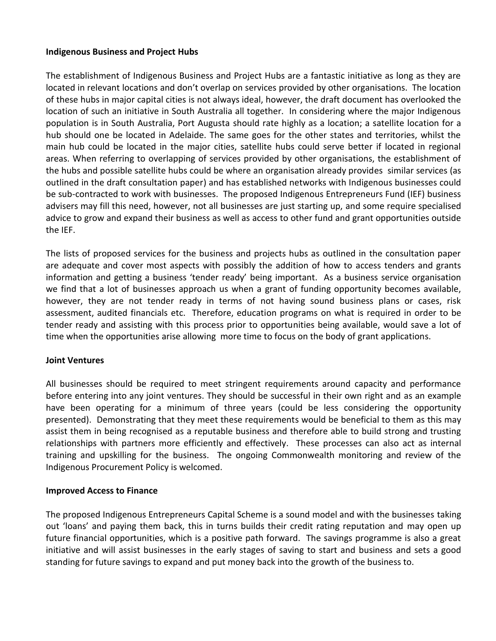# **Indigenous Business and Project Hubs**

The establishment of Indigenous Business and Project Hubs are a fantastic initiative as long as they are located in relevant locations and don't overlap on services provided by other organisations. The location of these hubs in major capital cities is not always ideal, however, the draft document has overlooked the location of such an initiative in South Australia all together. In considering where the major Indigenous population is in South Australia, Port Augusta should rate highly as a location; a satellite location for a hub should one be located in Adelaide. The same goes for the other states and territories, whilst the main hub could be located in the major cities, satellite hubs could serve better if located in regional areas. When referring to overlapping of services provided by other organisations, the establishment of the hubs and possible satellite hubs could be where an organisation already provides similar services (as outlined in the draft consultation paper) and has established networks with Indigenous businesses could be sub-contracted to work with businesses. The proposed Indigenous Entrepreneurs Fund (IEF) business advisers may fill this need, however, not all businesses are just starting up, and some require specialised advice to grow and expand their business as well as access to other fund and grant opportunities outside the IEF.

The lists of proposed services for the business and projects hubs as outlined in the consultation paper are adequate and cover most aspects with possibly the addition of how to access tenders and grants information and getting a business 'tender ready' being important. As a business service organisation we find that a lot of businesses approach us when a grant of funding opportunity becomes available, however, they are not tender ready in terms of not having sound business plans or cases, risk assessment, audited financials etc. Therefore, education programs on what is required in order to be tender ready and assisting with this process prior to opportunities being available, would save a lot of time when the opportunities arise allowing more time to focus on the body of grant applications.

# **Joint Ventures**

All businesses should be required to meet stringent requirements around capacity and performance before entering into any joint ventures. They should be successful in their own right and as an example have been operating for a minimum of three years (could be less considering the opportunity presented). Demonstrating that they meet these requirements would be beneficial to them as this may assist them in being recognised as a reputable business and therefore able to build strong and trusting relationships with partners more efficiently and effectively. These processes can also act as internal training and upskilling for the business. The ongoing Commonwealth monitoring and review of the Indigenous Procurement Policy is welcomed.

# **Improved Access to Finance**

The proposed Indigenous Entrepreneurs Capital Scheme is a sound model and with the businesses taking out 'loans' and paying them back, this in turns builds their credit rating reputation and may open up future financial opportunities, which is a positive path forward. The savings programme is also a great initiative and will assist businesses in the early stages of saving to start and business and sets a good standing for future savings to expand and put money back into the growth of the business to.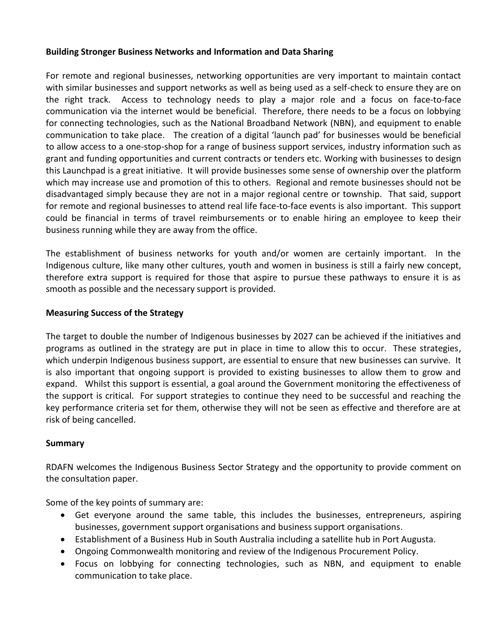# **Building Stronger Business Networks and Information and Data Sharing**

For remote and regional businesses, networking opportunities are very important to maintain contact with similar businesses and support networks as well as being used as a self-check to ensure they are on the right track. Access to technology needs to play a major role and a focus on face-to-face communication via the internet would be beneficial. Therefore, there needs to be a focus on lobbying for connecting technologies, such as the National Broadband Network (NBN), and equipment to enable communication to take place. The creation of a digital 'launch pad' for businesses would be beneficial to allow access to a one-stop-shop for a range of business support services, industry information such as grant and funding opportunities and current contracts or tenders etc. Working with businesses to design this Launchpad is a great initiative. It will provide businesses some sense of ownership over the platform which may increase use and promotion of this to others. Regional and remote businesses should not be disadvantaged simply because they are not in a major regional centre or township. That said, support for remote and regional businesses to attend real life face-to-face events is also important. This support could be financial in terms of travel reimbursements or to enable hiring an employee to keep their business running while they are away from the office.

The establishment of business networks for youth and/or women are certainly important. In the Indigenous culture, like many other cultures, youth and women in business is still a fairly new concept, therefore extra support is required for those that aspire to pursue these pathways to ensure it is as smooth as possible and the necessary support is provided.

# **Measuring Success of the Strategy**

The target to double the number of Indigenous businesses by 2027 can be achieved if the initiatives and programs as outlined in the strategy are put in place in time to allow this to occur. These strategies, which underpin Indigenous business support, are essential to ensure that new businesses can survive. It is also important that ongoing support is provided to existing businesses to allow them to grow and expand. Whilst this support is essential, a goal around the Government monitoring the effectiveness of the support is critical. For support strategies to continue they need to be successful and reaching the key performance criteria set for them, otherwise they will not be seen as effective and therefore are at risk of being cancelled.

# **Summary**

RDAFN welcomes the Indigenous Business Sector Strategy and the opportunity to provide comment on the consultation paper.

Some of the key points of summary are:

- Get everyone around the same table, this includes the businesses, entrepreneurs, aspiring businesses, government support organisations and business support organisations.
- Establishment of a Business Hub in South Australia including a satellite hub in Port Augusta.
- Ongoing Commonwealth monitoring and review of the Indigenous Procurement Policy.
- Focus on lobbying for connecting technologies, such as NBN, and equipment to enable communication to take place.